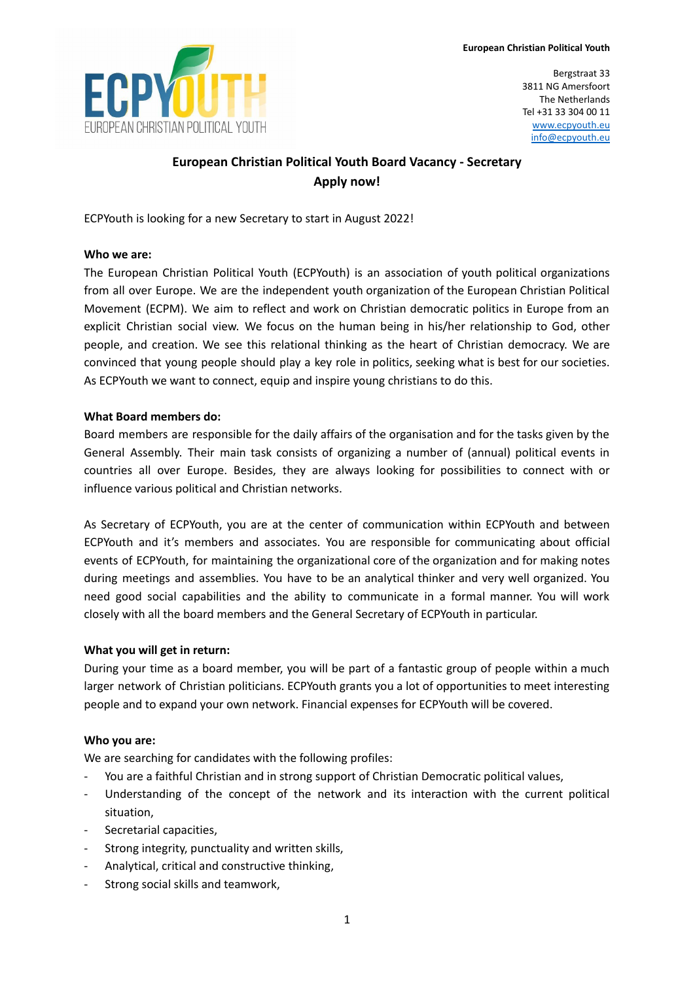

Bergstraat 33 3811 NG Amersfoort The Netherlands Tel +31 33 304 00 11 [www.ecpyouth.eu](http://www.ecpyouth.eu) [info@ecpyouth.eu](mailto:info@ecpyouth.eu)

# **European Christian Political Youth Board Vacancy - Secretary Apply now!**

ECPYouth is looking for a new Secretary to start in August 2022!

### **Who we are:**

The European Christian Political Youth (ECPYouth) is an association of youth political organizations from all over Europe. We are the independent youth organization of the European Christian Political Movement (ECPM). We aim to reflect and work on Christian democratic politics in Europe from an explicit Christian social view. We focus on the human being in his/her relationship to God, other people, and creation. We see this relational thinking as the heart of Christian democracy. We are convinced that young people should play a key role in politics, seeking what is best for our societies. As ECPYouth we want to connect, equip and inspire young christians to do this.

### **What Board members do:**

Board members are responsible for the daily affairs of the organisation and for the tasks given by the General Assembly. Their main task consists of organizing a number of (annual) political events in countries all over Europe. Besides, they are always looking for possibilities to connect with or influence various political and Christian networks.

As Secretary of ECPYouth, you are at the center of communication within ECPYouth and between ECPYouth and it's members and associates. You are responsible for communicating about official events of ECPYouth, for maintaining the organizational core of the organization and for making notes during meetings and assemblies. You have to be an analytical thinker and very well organized. You need good social capabilities and the ability to communicate in a formal manner. You will work closely with all the board members and the General Secretary of ECPYouth in particular.

# **What you will get in return:**

During your time as a board member, you will be part of a fantastic group of people within a much larger network of Christian politicians. ECPYouth grants you a lot of opportunities to meet interesting people and to expand your own network. Financial expenses for ECPYouth will be covered.

# **Who you are:**

We are searching for candidates with the following profiles:

- You are a faithful Christian and in strong support of Christian Democratic political values,
- Understanding of the concept of the network and its interaction with the current political situation,
- Secretarial capacities,
- Strong integrity, punctuality and written skills,
- Analytical, critical and constructive thinking,
- Strong social skills and teamwork,